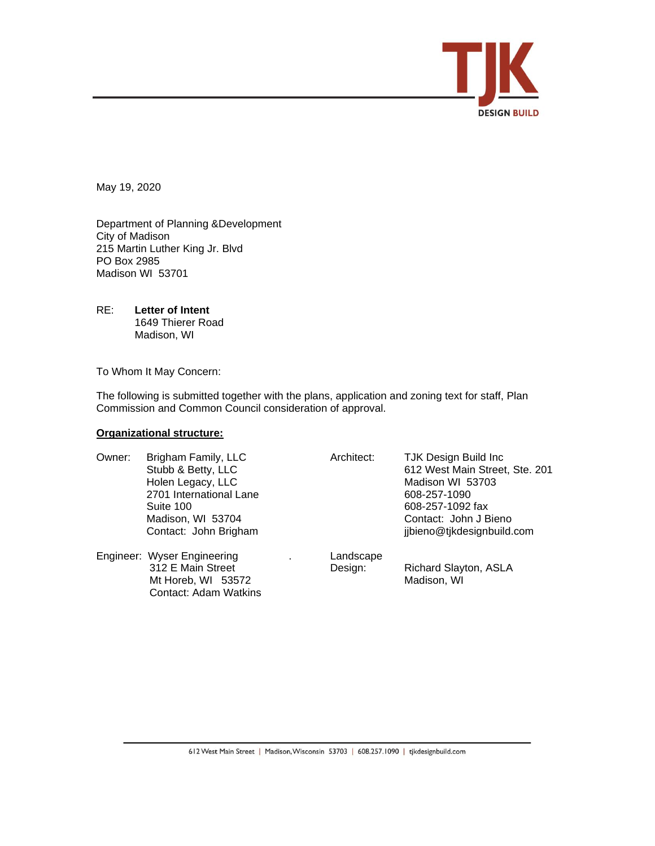

May 19, 2020

Department of Planning &Development City of Madison 215 Martin Luther King Jr. Blvd PO Box 2985 Madison WI 53701

RE: **Letter of Intent** 1649 Thierer Road Madison, WI

To Whom It May Concern:

The following is submitted together with the plans, application and zoning text for staff, Plan Commission and Common Council consideration of approval.

# **Organizational structure:**

| Owner: | Brigham Family, LLC         | Architect: | <b>TJK Design Build Inc</b>    |
|--------|-----------------------------|------------|--------------------------------|
|        | Stubb & Betty, LLC          |            | 612 West Main Street, Ste. 201 |
|        | Holen Legacy, LLC           |            | Madison WI 53703               |
|        | 2701 International Lane     |            | 608-257-1090                   |
|        | Suite 100                   |            | 608-257-1092 fax               |
|        | Madison, WI 53704           |            | Contact: John J Bieno          |
|        | Contact: John Brigham       |            | jjbieno@tjkdesignbuild.com     |
|        | Engineer: Wyser Engineering | Landscape  |                                |
|        | 312 E Main Street           | Design:    | Richard Slayton, ASLA          |
|        | Mt Horeb, WI 53572          |            | Madison, WI                    |
|        | Contact: Adam Watkins       |            |                                |